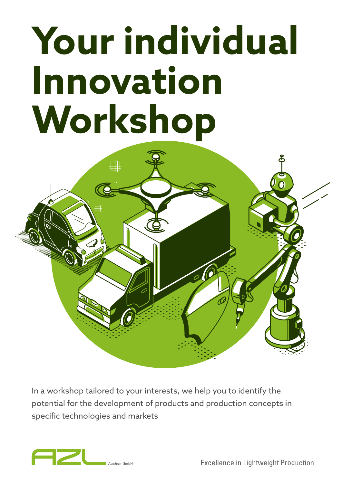# **Your individual Innovation Workshop**



In a workshop tailored to your interests, we help you to identify the potential for the development of products and production concepts in specific technologies and markets



**Excellence in Lightweight Production**